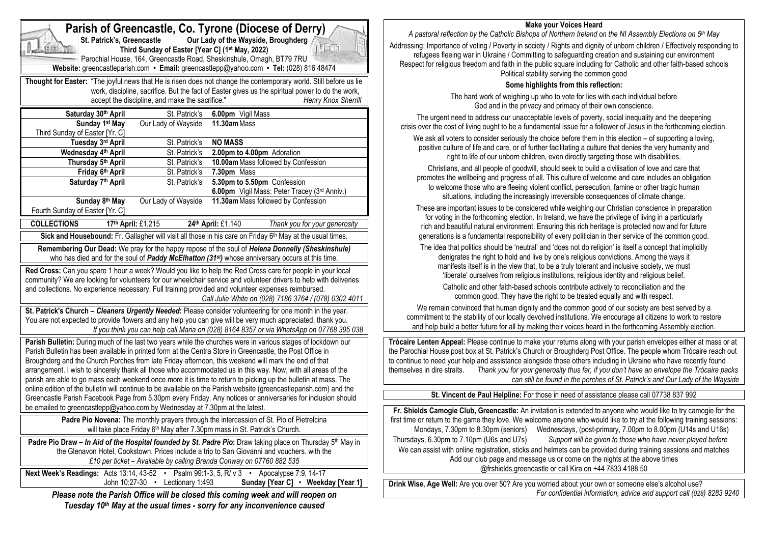| Parish of Greencastle, Co. Tyrone (Diocese of Derry)<br>Our Lady of the Wayside, Broughderg<br>St. Patrick's, Greencastle<br>Third Sunday of Easter [Year C] (1st May, 2022)<br>$\Box$<br>Parochial House, 164, Greencastle Road, Sheskinshule, Omagh, BT79 7RU                                                                                                                                 |                                                 |                                                                                                                                                                                                                                                                                                                     |    |
|-------------------------------------------------------------------------------------------------------------------------------------------------------------------------------------------------------------------------------------------------------------------------------------------------------------------------------------------------------------------------------------------------|-------------------------------------------------|---------------------------------------------------------------------------------------------------------------------------------------------------------------------------------------------------------------------------------------------------------------------------------------------------------------------|----|
|                                                                                                                                                                                                                                                                                                                                                                                                 |                                                 | Website: greencastleparish.com • Email: greencastlepp@yahoo.com • Tel: (028) 816 48474<br>Thought for Easter: "The joyful news that He is risen does not change the contemporary world. Still before us lie<br>work, discipline, sacrifice. But the fact of Easter gives us the spiritual power to do the work,     |    |
|                                                                                                                                                                                                                                                                                                                                                                                                 | accept the discipline, and make the sacrifice." | Henry Knox Sherrill                                                                                                                                                                                                                                                                                                 |    |
| Saturday 30th April                                                                                                                                                                                                                                                                                                                                                                             | St. Patrick's                                   | 6.00pm Vigil Mass                                                                                                                                                                                                                                                                                                   |    |
| Sunday 1 <sup>st</sup> May<br>Third Sunday of Easter [Yr. C]                                                                                                                                                                                                                                                                                                                                    | Our Lady of Wayside                             | 11.30am Mass                                                                                                                                                                                                                                                                                                        |    |
| Tuesday 3rd April                                                                                                                                                                                                                                                                                                                                                                               | St. Patrick's                                   | <b>NO MASS</b>                                                                                                                                                                                                                                                                                                      |    |
| Wednesday 4th April<br>Thursday 5th April                                                                                                                                                                                                                                                                                                                                                       | St. Patrick's<br>St. Patrick's                  | 2.00pm to 4.00pm Adoration<br>10.00am Mass followed by Confession                                                                                                                                                                                                                                                   |    |
| Friday 6th April                                                                                                                                                                                                                                                                                                                                                                                | St. Patrick's                                   | 7.30pm Mass                                                                                                                                                                                                                                                                                                         |    |
| Saturday 7th April                                                                                                                                                                                                                                                                                                                                                                              | St. Patrick's                                   | 5.30pm to 5.50pm Confession                                                                                                                                                                                                                                                                                         |    |
|                                                                                                                                                                                                                                                                                                                                                                                                 |                                                 | 6.00pm Vigil Mass: Peter Tracey (3rd Anniv.)                                                                                                                                                                                                                                                                        |    |
| Sunday 8th May<br>Fourth Sunday of Easter [Yr. C]                                                                                                                                                                                                                                                                                                                                               | Our Lady of Wayside                             | 11.30am Mass followed by Confession                                                                                                                                                                                                                                                                                 |    |
| <b>COLLECTIONS</b>                                                                                                                                                                                                                                                                                                                                                                              | 17th April: £1,215                              | 24th April: £1,140<br>Thank you for your generosity                                                                                                                                                                                                                                                                 |    |
|                                                                                                                                                                                                                                                                                                                                                                                                 |                                                 | Sick and Housebound: Fr. Gallagher will visit all those in his care on Friday 6th May at the usual times.                                                                                                                                                                                                           |    |
| Remembering Our Dead: We pray for the happy repose of the soul of Helena Donnelly (Sheskinshule)<br>who has died and for the soul of Paddy McElhatton (31st) whose anniversary occurs at this time.                                                                                                                                                                                             |                                                 |                                                                                                                                                                                                                                                                                                                     |    |
| Red Cross: Can you spare 1 hour a week? Would you like to help the Red Cross care for people in your local<br>community? We are looking for volunteers for our wheelchair service and volunteer drivers to help with deliveries<br>and collections. No experience necessary. Full training provided and volunteer expenses reimbursed.<br>Call Julie White on (028) 7186 3764 / (078) 0302 4011 |                                                 |                                                                                                                                                                                                                                                                                                                     |    |
|                                                                                                                                                                                                                                                                                                                                                                                                 |                                                 | St. Patrick's Church - Cleaners Urgently Needed: Please consider volunteering for one month in the year.<br>You are not expected to provide flowers and any help you can give will be very much appreciated, thank you.<br>If you think you can help call Maria on (028) 8164 8357 or via WhatsApp on 07768 395 038 |    |
|                                                                                                                                                                                                                                                                                                                                                                                                 |                                                 | Parish Bulletin: During much of the last two years while the churches were in various stages of lockdown our<br>Parish Bulletin has been available in printed form at the Centra Store in Greencastle, the Post Office in                                                                                           | tl |
| Broughderg and the Church Porches from late Friday afternoon, this weekend will mark the end of that<br>arrangement. I wish to sincerely thank all those who accommodated us in this way. Now, with all areas of the<br>parish are able to go mass each weekend once more it is time to return to picking up the bulletin at mass. The                                                          |                                                 |                                                                                                                                                                                                                                                                                                                     | t  |
|                                                                                                                                                                                                                                                                                                                                                                                                 |                                                 | online edition of the bulletin will continue to be available on the Parish website (greencastleparish.com) and the                                                                                                                                                                                                  |    |
| be emailed to greencastlepp@yahoo.com by Wednesday at 7.30pm at the latest.                                                                                                                                                                                                                                                                                                                     |                                                 | Greencastle Parish Facebook Page from 5.30pm every Friday. Any notices or anniversaries for inclusion should                                                                                                                                                                                                        |    |
| Padre Pio Novena: The monthly prayers through the intercession of St. Pio of Pietrelcina<br>will take place Friday 6 <sup>th</sup> May after 7.30pm mass in St. Patrick's Church.                                                                                                                                                                                                               |                                                 |                                                                                                                                                                                                                                                                                                                     |    |
| Padre Pio Draw - In Aid of the Hospital founded by St. Padre Pio: Draw taking place on Thursday 5th May in<br>the Glenavon Hotel, Cookstown. Prices include a trip to San Giovanni and vouchers. with the<br>£10 per ticket - Available by calling Brenda Conway on 07760 882 535                                                                                                               |                                                 |                                                                                                                                                                                                                                                                                                                     |    |
|                                                                                                                                                                                                                                                                                                                                                                                                 | John 10:27-30 • Lectionary 1:493                | Next Week's Readings: Acts 13:14, 43-52 · Psalm 99:1-3, 5, R/ v 3 · Apocalypse 7:9, 14-17<br>Sunday [Year C] • Weekday [Year 1]                                                                                                                                                                                     | D  |
|                                                                                                                                                                                                                                                                                                                                                                                                 |                                                 | Please note the Parish Office will be closed this coming week and will reopen on<br>Tuesday 10th May at the usual times - sorry for any inconvenience caused                                                                                                                                                        |    |

#### **Make your Voices Heard**

*A pastoral reflection by the Catholic Bishops of Northern Ireland on the NI Assembly Elections on 5th May* Addressing: Importance of voting / Poverty in society / Rights and dignity of unborn children / Effectively responding to refugees fleeing war in Ukraine / Committing to safeguarding creation and sustaining our environment Respect for religious freedom and faith in the public square including for Catholic and other faith-based schools Political stability serving the common good

## **Some highlights from this reflection:**

The hard work of weighing up who to vote for lies with each individual before God and in the privacy and primacy of their own conscience.

The urgent need to address our unacceptable levels of poverty, social inequality and the deepening crisis over the cost of living ought to be a fundamental issue for a follower of Jesus in the forthcoming election. We ask all voters to consider seriously the choice before them in this election – of supporting a loving. positive culture of life and care, or of further facilitating a culture that denies the very humanity and right to life of our unborn children, even directly targeting those with disabilities.

Christians, and all people of goodwill, should seek to build a civilisation of love and care that promotes the wellbeing and progress of all. This culture of welcome and care includes an obligation to welcome those who are fleeing violent conflict, persecution, famine or other tragic human situations, including the increasingly irreversible consequences of climate change.

These are important issues to be considered while weighing our Christian conscience in preparation for voting in the forthcoming election. In Ireland, we have the privilege of living in a particularly rich and beautiful natural environment. Ensuring this rich heritage is protected now and for future generations is a fundamental responsibility of every politician in their service of the common good.

The idea that politics should be 'neutral' and 'does not do religion' is itself a concept that implicitly denigrates the right to hold and live by one's religious convictions. Among the ways it manifests itself is in the view that, to be a truly tolerant and inclusive society, we must 'liberate' ourselves from religious institutions, religious identity and religious belief.

Catholic and other faith-based schools contribute actively to reconciliation and the common good. They have the right to be treated equally and with respect.

We remain convinced that human dignity and the common good of our society are best served by a commitment to the stability of our locally devolved institutions. We encourage all citizens to work to restore and help build a better future for all by making their voices heard in the forthcoming Assembly election.

**Trócaire Lenten Appeal:** Please continue to make your returns along with your parish envelopes either at mass or at he Parochial House post box at St. Patrick's Church or Broughderg Post Office. The people whom Trócaire reach out to continue to need your help and assistance alongside those others including in Ukraine who have recently found themselves in dire straits. *Thank you for your generosity thus far, if you don't have an envelope the Trócaire packs can still be found in the porches of St. Patrick's and Our Lady of the Wayside*

**St. Vincent de Paul Helpline:** For those in need of assistance please call 07738 837 992

**Fr. Shields Camogie Club, Greencastle:** An invitation is extended to anyone who would like to try camogie for the first time or return to the game they love. We welcome anyone who would like to try at the following training sessions: Mondays, 7.30pm to 8.30pm (seniors) Wednesdays, (post-primary, 7.00pm to 8.00pm (U14s and U16s) Thursdays, 6.30pm to 7.10pm (U6s and U7s) *Support will be given to those who have never played before* We can assist with online registration, sticks and helmets can be provided during training sessions and matches Add our club page and message us or come on the nights at the above times @frshields.greencastle or call Kira on +44 7833 4188 50

**Drink Wise, Age Well:** Are you over 50? Are you worried about your own or someone else's alcohol use? *For confidential information, advice and support call (028) 8283 9240*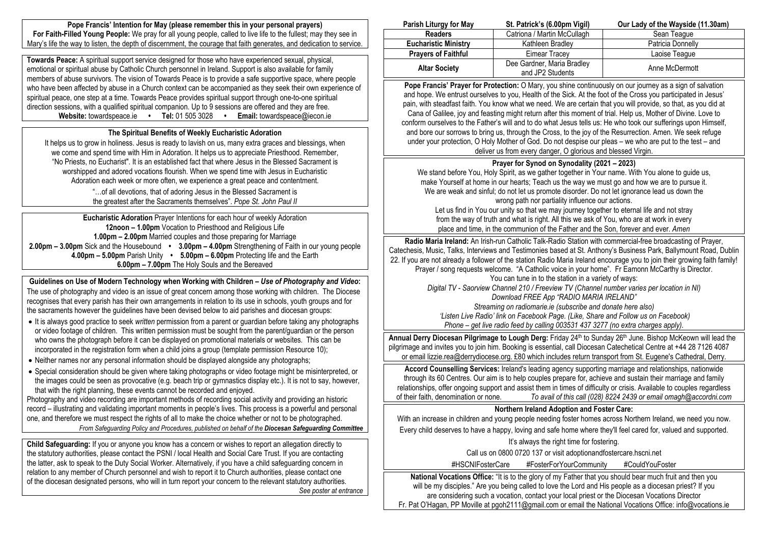**Pope Francis' Intention for May (please remember this in your personal prayers) For Faith-Filled Young People:** We pray for all young people, called to live life to the fullest; may they see in Mary's life the way to listen, the depth of discernment, the courage that faith generates, and dedication to service.

**Towards Peace:** A spiritual support service designed for those who have experienced sexual, physical, emotional or spiritual abuse by Catholic Church personnel in Ireland. Support is also available for family members of abuse survivors. The vision of Towards Peace is to provide a safe supportive space, where people who have been affected by abuse in a Church context can be accompanied as they seek their own experience of spiritual peace, one step at a time. Towards Peace provides spiritual support through one-to-one spiritual direction sessions, with a qualified spiritual companion. Up to 9 sessions are offered and they are free.<br> **Website:** towardspeace.ie • Tel: 01 505 3028 • Email: towardspeace@iecon.ie **Website:** towardspeace.ie • **Tel:** 01 505 3028 •

## **The Spiritual Benefits of Weekly Eucharistic Adoration**

It helps us to grow in holiness. Jesus is ready to lavish on us, many extra graces and blessings, when we come and spend time with Him in Adoration. It helps us to appreciate Priesthood. Remember, "No Priests, no Eucharist". It is an established fact that where Jesus in the Blessed Sacrament is worshipped and adored vocations flourish. When we spend time with Jesus in Eucharistic Adoration each week or more often, we experience a great peace and contentment.

> "…of all devotions, that of adoring Jesus in the Blessed Sacrament is the greatest after the Sacraments themselves". *Pope St. John Paul II*

**Eucharistic Adoration** Prayer Intentions for each hour of weekly Adoration **12noon – 1.00pm** Vocation to Priesthood and Religious Life **1.00pm – 2.00pm** Married couples and those preparing for Marriage **2.00pm – 3.00pm** Sick and the Housebound **• 3.00pm – 4.00pm** Strengthening of Faith in our young people **4.00pm – 5.00pm** Parish Unity **• 5.00pm – 6.00pm** Protecting life and the Earth **6.00pm – 7.00pm** The Holy Souls and the Bereaved

**Guidelines on Use of Modern Technology when Working with Children –** *Use of Photography and Video***:** The use of photography and video is an issue of great concern among those working with children. The Diocese recognises that every parish has their own arrangements in relation to its use in schools, youth groups and for the sacraments however the guidelines have been devised below to aid parishes and diocesan groups:

- It is always good practice to seek *written* permission from a parent or guardian before taking any photographs or video footage of children. This written permission must be sought from the parent/guardian or the person who owns the photograph before it can be displayed on promotional materials or websites. This can be incorporated in the registration form when a child joins a group (template permission Resource 10);
- Neither names nor any personal information should be displayed alongside any photographs:
- Special consideration should be given where taking photographs or video footage might be misinterpreted, or the images could be seen as provocative (e.g. beach trip or gymnastics display etc.). It is not to say, however, that with the right planning, these events cannot be recorded and enjoyed.

Photography and video recording are important methods of recording social activity and providing an historic record – illustrating and validating important moments in people's lives. This process is a powerful and personal one, and therefore we must respect the rights of all to make the choice whether or not to be photographed. *From Safeguarding Policy and Procedures, published on behalf of the Diocesan Safeguarding Committee*

**Child Safeguarding:** If you or anyone you know has a concern or wishes to report an allegation directly to the statutory authorities, please contact the PSNI / local Health and Social Care Trust. If you are contacting the latter, ask to speak to the Duty Social Worker. Alternatively, if you have a child safeguarding concern in relation to any member of Church personnel and wish to report it to Church authorities, please contact one of the diocesan designated persons, who will in turn report your concern to the relevant statutory authorities. *See poster at entrance*

| Parish Liturgy for May      | St. Patrick's (6.00pm Vigil) | Our Lady of the Wayside (11.30am) |
|-----------------------------|------------------------------|-----------------------------------|
| <b>Readers</b>              | Catriona / Martin McCullagh  | Sean Teaque                       |
| <b>Eucharistic Ministry</b> | Kathleen Bradley             | Patricia Donnelly                 |
| <b>Prayers of Faithful</b>  | Eimear Tracev                | Laoise Teaque                     |
| <b>Altar Society</b>        | Dee Gardner, Maria Bradley   | Anne McDermott                    |
|                             | and JP2 Students             |                                   |

**Pope Francis' Prayer for Protection:** O Mary, you shine continuously on our journey as a sign of salvation and hope. We entrust ourselves to you, Health of the Sick. At the foot of the Cross you participated in Jesus' pain, with steadfast faith. You know what we need. We are certain that you will provide, so that, as you did at Cana of Galilee, joy and feasting might return after this moment of trial. Help us, Mother of Divine. Love to conform ourselves to the Father's will and to do what Jesus tells us: He who took our sufferings upon Himself, and bore our sorrows to bring us, through the Cross, to the joy of the Resurrection. Amen. We seek refuge under your protection, O Holy Mother of God. Do not despise our pleas – we who are put to the test – and deliver us from every danger, O glorious and blessed Virgin.

# **Prayer for Synod on Synodality (2021 – 2023)**

We stand before You, Holy Spirit, as we gather together in Your name. With You alone to guide us, make Yourself at home in our hearts; Teach us the way we must go and how we are to pursue it. We are weak and sinful; do not let us promote disorder. Do not let ignorance lead us down the wrong path nor partiality influence our actions.

Let us find in You our unity so that we may journey together to eternal life and not stray from the way of truth and what is right. All this we ask of You, who are at work in every place and time, in the communion of the Father and the Son, forever and ever. *Amen*

**Radio Maria Ireland:** An Irish-run Catholic Talk-Radio Station with commercial-free broadcasting of Prayer, Catechesis, Music, Talks, Interviews and Testimonies based at St. Anthony's Business Park, Ballymount Road, Dublin 22. If you are not already a follower of the station Radio Maria Ireland encourage you to join their growing faith family! Prayer / song requests welcome. "A Catholic voice in your home". Fr Eamonn McCarthy is Director. You can tune in to the station in a variety of ways: *Digital TV - Saorview Channel 210 / Freeview TV (Channel number varies per location in NI) Download FREE App "RADIO MARIA IRELAND" Streaming on radiomarie.ie (subscribe and donate here also) 'Listen Live Radio' link on Facebook Page. (Like, Share and Follow us on Facebook)*

*Phone – get live radio feed by calling 003531 437 3277 (no extra charges apply).*

Annual Derry Diocesan Pilgrimage to Lough Derg: Friday 24<sup>th</sup> to Sunday 26<sup>th</sup> June. Bishop McKeown will lead the pilgrimage and invites you to join him. Booking is essential, call Diocesan Catechetical Centre at +44 28 7126 4087 or email lizzie.rea@derrydiocese.org. £80 which includes return transport from St. Eugene's Cathedral, Derry.

**Accord Counselling Services:** Ireland's leading agency supporting marriage and relationships, nationwide through its 60 Centres. Our aim is to help couples prepare for, achieve and sustain their marriage and family relationships, offer ongoing support and assist them in times of difficulty or crisis. Available to couples regardless of their faith, denomination or none. *To avail of this call (028) 8224 2439 or email omagh@accordni.com*

## **Northern Ireland Adoption and Foster Care:**

With an increase in children and young people needing foster homes across Northern Ireland, we need you now. Every child deserves to have a happy, loving and safe home where they'll feel cared for, valued and supported. It's always the right time for fostering.

Call us on 0800 0720 137 or visit adoptionandfostercare.hscni.net

#HSCNIFosterCare #FosterForYourCommunity #CouldYouFoster

**National Vocations Office:** "It is to the glory of my Father that you should bear much fruit and then you will be my disciples." Are you being called to love the Lord and His people as a diocesan priest? If you are considering such a vocation, contact your local priest or the Diocesan Vocations Director Fr. Pat O'Hagan, PP Moville at pgoh2111@gmail.com or email the National Vocations Office: info@vocations.ie